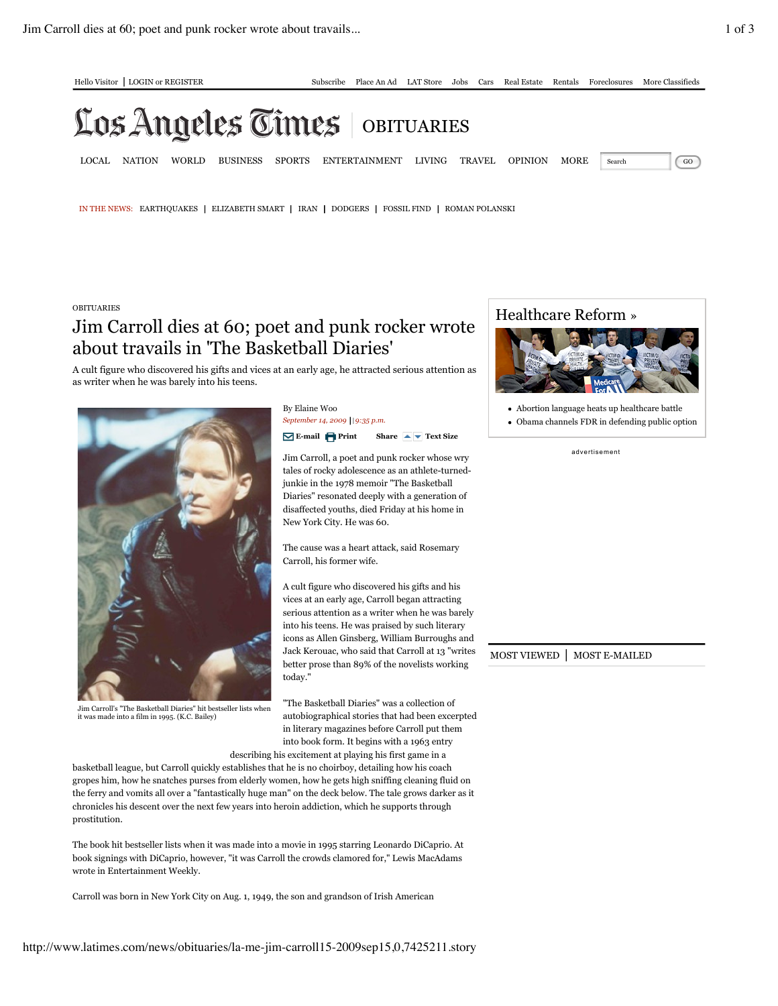## Los Angeles Times **OBITUARIES**

LOCAL NATION WORLD BUSINESS SPORTS ENTERTAINMENT LIVING TRAVEL OPINION MORE Search GO

IN THE NEWS: EARTHQUAKES | ELIZABETH SMART | IRAN | DODGERS | FOSSIL FIND | ROMAN POLANSKI

## **OBITUARIES**

## Jim Carroll dies at 60; poet and punk rocker wrote about travails in 'The Basketball Diaries'

A cult figure who discovered his gifts and vices at an early age, he attracted serious attention as as writer when he was barely into his teens.



Jim Carroll's "The Basketball Diaries" hit bestseller lists when it was made into a film in 1995. (K.C. Bailey)

By Elaine Woo *September 14, 2009 | 9:35 p.m.*

**E-mail Print Share Text Size**

Jim Carroll, a poet and punk rocker whose wry tales of rocky adolescence as an athlete-turnedjunkie in the 1978 memoir "The Basketball Diaries" resonated deeply with a generation of disaffected youths, died Friday at his home in New York City. He was 60.

The cause was a heart attack, said Rosemary Carroll, his former wife.

A cult figure who discovered his gifts and his vices at an early age, Carroll began attracting serious attention as a writer when he was barely into his teens. He was praised by such literary icons as Allen Ginsberg, William Burroughs and Jack Kerouac, who said that Carroll at 13 "writes | MOST VIEWED | MOST E-MAILED better prose than 89% of the novelists working today."

"The Basketball Diaries" was a collection of autobiographical stories that had been excerpted in literary magazines before Carroll put them into book form. It begins with a 1963 entry

describing his excitement at playing his first game in a

basketball league, but Carroll quickly establishes that he is no choirboy, detailing how his coach gropes him, how he snatches purses from elderly women, how he gets high sniffing cleaning fluid on the ferry and vomits all over a "fantastically huge man" on the deck below. The tale grows darker as it chronicles his descent over the next few years into heroin addiction, which he supports through prostitution.

The book hit bestseller lists when it was made into a movie in 1995 starring Leonardo DiCaprio. At book signings with DiCaprio, however, "it was Carroll the crowds clamored for," Lewis MacAdams wrote in Entertainment Weekly.

Carroll was born in New York City on Aug. 1, 1949, the son and grandson of Irish American



Abortion language heats up healthcare battle

Obama channels FDR in defending public option

ad ve rti sement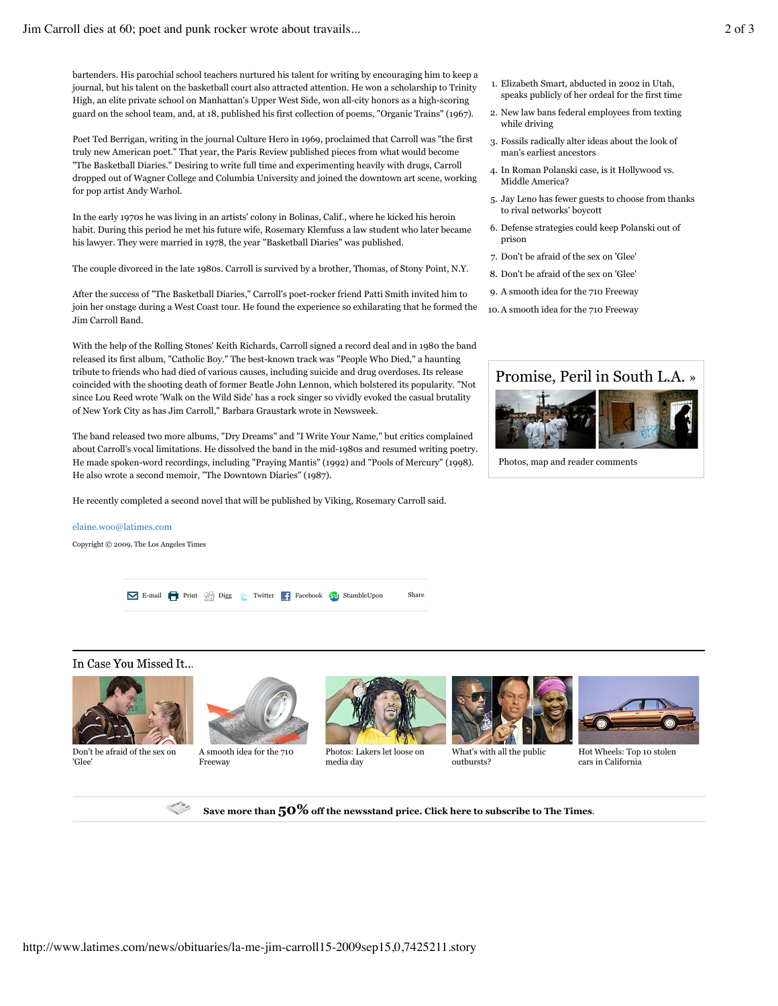bartenders. His parochial school teachers nurtured his talent for writing by encouraging him to keep a journal, but his talent on the basketball court also attracted attention. He won a scholarship to Trinity High, an elite private school on Manhattan's Upper West Side, won all-city honors as a high-scoring guard on the school team, and, at 18, published his first collection of poems, "Organic Trains" (1967).

Poet Ted Berrigan, writing in the journal Culture Hero in 1969, proclaimed that Carroll was "the first truly new American poet." That year, the Paris Review published pieces from what would become "The Basketball Diaries." Desiring to write full time and experimenting heavily with drugs, Carroll dropped out of Wagner College and Columbia University and joined the downtown art scene, working for pop artist Andy Warhol.

In the early 1970s he was living in an artists' colony in Bolinas, Calif., where he kicked his heroin habit. During this period he met his future wife, Rosemary Klemfuss a law student who later became his lawyer. They were married in 1978, the year "Basketball Diaries" was published.

The couple divorced in the late 1980s. Carroll is survived by a brother, Thomas, of Stony Point, N.Y.

After the success of "The Basketball Diaries," Carroll's poet-rocker friend Patti Smith invited him to join her onstage during a West Coast tour. He found the experience so exhilarating that he formed the Jim Carroll Band.

With the help of the Rolling Stones' Keith Richards, Carroll signed a record deal and in 1980 the band released its first album, "Catholic Boy." The best-known track was "People Who Died," a haunting tribute to friends who had died of various causes, including suicide and drug overdoses. Its release coincided with the shooting death of former Beatle John Lennon, which bolstered its popularity. "Not since Lou Reed wrote 'Walk on the Wild Side' has a rock singer so vividly evoked the casual brutality of New York City as has Jim Carroll," Barbara Graustark wrote in Newsweek.

The band released two more albums, "Dry Dreams" and "I Write Your Name," but critics complained about Carroll's vocal limitations. He dissolved the band in the mid-1980s and resumed writing poetry. He made spoken-word recordings, including "Praying Mantis" (1992) and "Pools of Mercury" (1998). He also wrote a second memoir, "The Downtown Diaries" (1987).

He recently completed a second novel that will be published by Viking, Rosemary Carroll said.

## elaine.woo@latimes.com

Copyright © 2009, The Los Angeles Times

E-mail Print Digg Twitter Facebook StumbleUpon Share

In Case You Missed It...



Don't be afraid of the sex on 'Glee'



A smooth idea for the 710 Freeway



**Save more than 50% off the newsstand price. Click here to subscribe to The Times**.

Photos: Lakers let loose on media day



What's with all the public outbursts?



Hot Wheels: Top 10 stolen cars in California

- 1. Elizabeth Smart, abducted in 2002 in Utah, speaks publicly of her ordeal for the first time
- 2. New law bans federal employees from texting while driving
- 3. Fossils radically alter ideas about the look of man's earliest ancestors
- 4. In Roman Polanski case, is it Hollywood vs. Middle America?
- 5. Jay Leno has fewer guests to choose from thanks to rival networks' boycott
- 6. Defense strategies could keep Polanski out of prison
- 7. Don't be afraid of the sex on 'Glee'
- 8. Don't be afraid of the sex on 'Glee'
- 9. A smooth idea for the 710 Freeway
- 10. A smooth idea for the 710 Freeway



Photos, map and reader comments